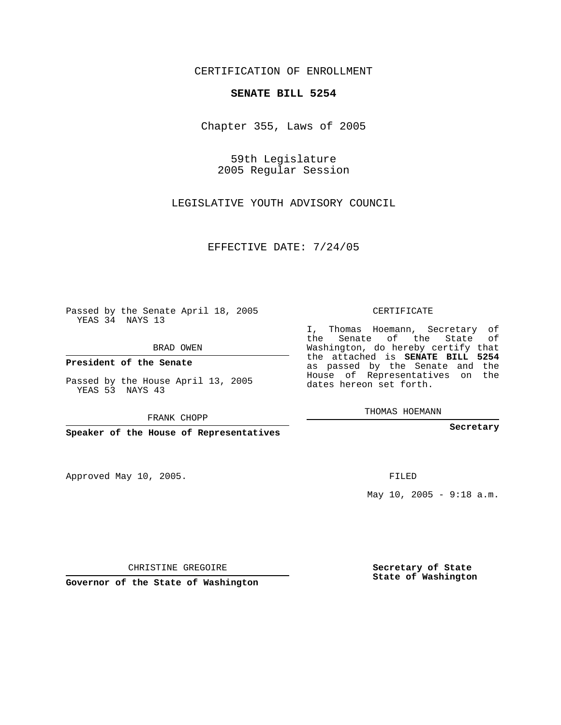CERTIFICATION OF ENROLLMENT

## **SENATE BILL 5254**

Chapter 355, Laws of 2005

59th Legislature 2005 Regular Session

LEGISLATIVE YOUTH ADVISORY COUNCIL

EFFECTIVE DATE: 7/24/05

Passed by the Senate April 18, 2005 YEAS 34 NAYS 13

BRAD OWEN

**President of the Senate**

Passed by the House April 13, 2005 YEAS 53 NAYS 43

FRANK CHOPP

**Speaker of the House of Representatives**

Approved May 10, 2005.

CERTIFICATE

I, Thomas Hoemann, Secretary of the Senate of the State of Washington, do hereby certify that the attached is **SENATE BILL 5254** as passed by the Senate and the House of Representatives on the dates hereon set forth.

THOMAS HOEMANN

**Secretary**

FILED

May 10, 2005 - 9:18 a.m.

CHRISTINE GREGOIRE

**Governor of the State of Washington**

**Secretary of State State of Washington**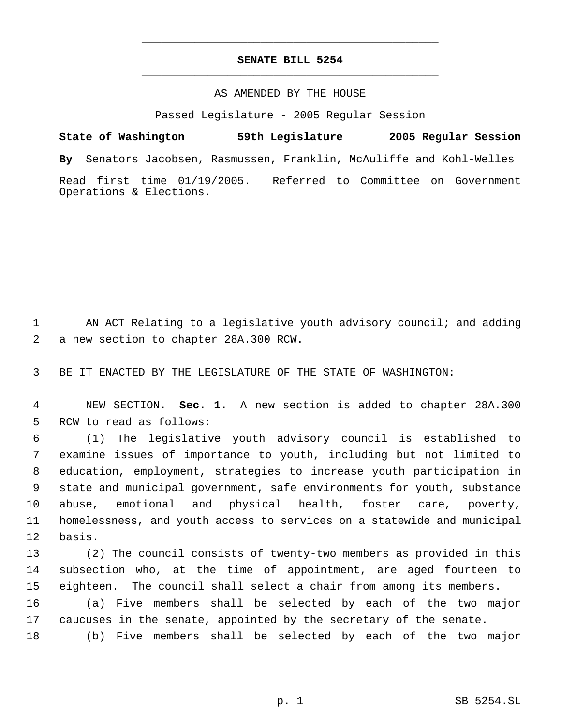## **SENATE BILL 5254** \_\_\_\_\_\_\_\_\_\_\_\_\_\_\_\_\_\_\_\_\_\_\_\_\_\_\_\_\_\_\_\_\_\_\_\_\_\_\_\_\_\_\_\_\_

\_\_\_\_\_\_\_\_\_\_\_\_\_\_\_\_\_\_\_\_\_\_\_\_\_\_\_\_\_\_\_\_\_\_\_\_\_\_\_\_\_\_\_\_\_

## AS AMENDED BY THE HOUSE

Passed Legislature - 2005 Regular Session

**State of Washington 59th Legislature 2005 Regular Session By** Senators Jacobsen, Rasmussen, Franklin, McAuliffe and Kohl-Welles Read first time 01/19/2005. Referred to Committee on Government Operations & Elections.

 AN ACT Relating to a legislative youth advisory council; and adding a new section to chapter 28A.300 RCW.

BE IT ENACTED BY THE LEGISLATURE OF THE STATE OF WASHINGTON:

 NEW SECTION. **Sec. 1.** A new section is added to chapter 28A.300 RCW to read as follows:

 (1) The legislative youth advisory council is established to examine issues of importance to youth, including but not limited to education, employment, strategies to increase youth participation in state and municipal government, safe environments for youth, substance abuse, emotional and physical health, foster care, poverty, homelessness, and youth access to services on a statewide and municipal basis.

 (2) The council consists of twenty-two members as provided in this subsection who, at the time of appointment, are aged fourteen to eighteen. The council shall select a chair from among its members. (a) Five members shall be selected by each of the two major caucuses in the senate, appointed by the secretary of the senate.

(b) Five members shall be selected by each of the two major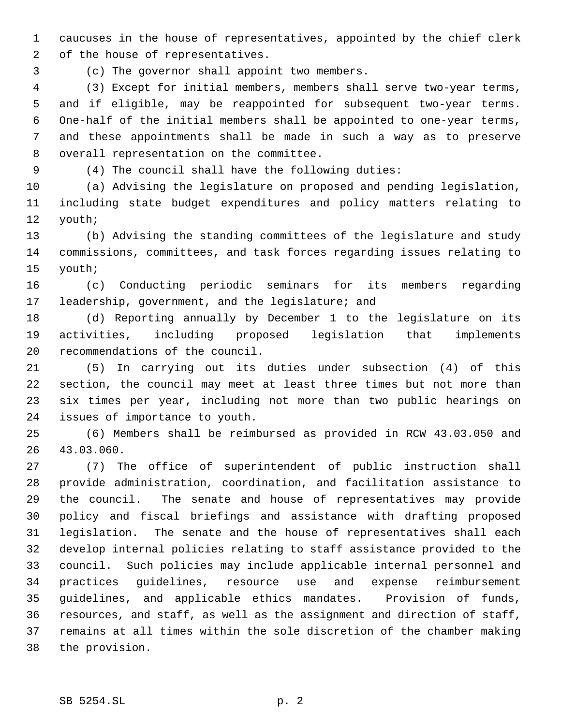caucuses in the house of representatives, appointed by the chief clerk of the house of representatives.

(c) The governor shall appoint two members.

 (3) Except for initial members, members shall serve two-year terms, and if eligible, may be reappointed for subsequent two-year terms. One-half of the initial members shall be appointed to one-year terms, and these appointments shall be made in such a way as to preserve overall representation on the committee.

(4) The council shall have the following duties:

 (a) Advising the legislature on proposed and pending legislation, including state budget expenditures and policy matters relating to youth;

 (b) Advising the standing committees of the legislature and study commissions, committees, and task forces regarding issues relating to youth;

 (c) Conducting periodic seminars for its members regarding leadership, government, and the legislature; and

 (d) Reporting annually by December 1 to the legislature on its activities, including proposed legislation that implements recommendations of the council.

 (5) In carrying out its duties under subsection (4) of this section, the council may meet at least three times but not more than six times per year, including not more than two public hearings on issues of importance to youth.

 (6) Members shall be reimbursed as provided in RCW 43.03.050 and 43.03.060.

 (7) The office of superintendent of public instruction shall provide administration, coordination, and facilitation assistance to the council. The senate and house of representatives may provide policy and fiscal briefings and assistance with drafting proposed legislation. The senate and the house of representatives shall each develop internal policies relating to staff assistance provided to the council. Such policies may include applicable internal personnel and practices guidelines, resource use and expense reimbursement guidelines, and applicable ethics mandates. Provision of funds, resources, and staff, as well as the assignment and direction of staff, remains at all times within the sole discretion of the chamber making the provision.